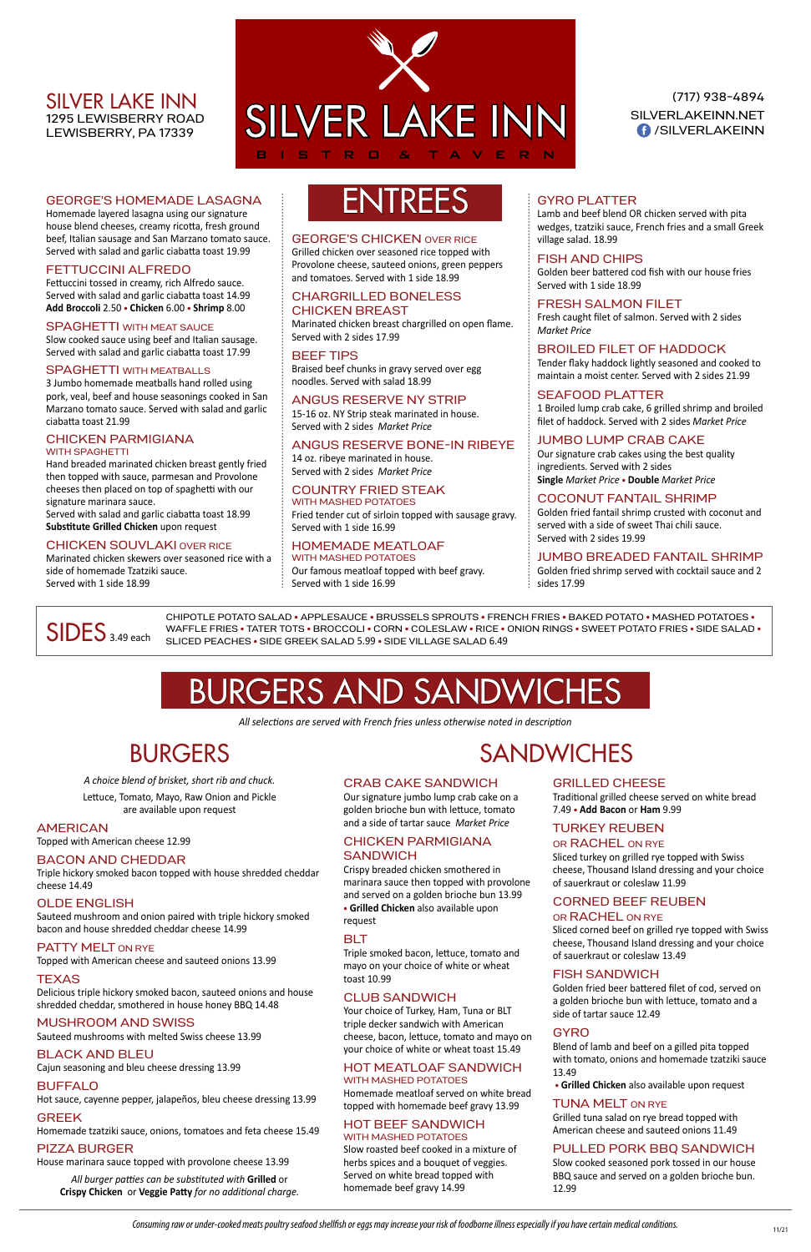GEORGE'S HOMEMADE LASAGNA

house blend cheeses, creamy ricotta, fresh ground beef, Italian sausage and San Marzano tomato sauce. Served with salad and garlic ciabatta toast 19.99

#### FETTUCCINI ALFREDO

Fettuccini tossed in creamy, rich Alfredo sauce. Served with salad and garlic ciabatta toast 14.99 **Add Broccoli** 2.50 **• Chicken** 6.00 **• Shrimp** 8.00

#### SPAGHETTI WITH MEAT SAUCE

Slow cooked sauce using beef and Italian sausage. Served with salad and garlic ciabatta toast 17.99

#### SPAGHETTI WITH MEATBALLS

3 Jumbo homemade meatballs hand rolled using pork, veal, beef and house seasonings cooked in San Marzano tomato sauce. Served with salad and garlic ciabatta toast 21.99

#### CHICKEN PARMIGIANA WITH SPAGHETTI

Hand breaded marinated chicken breast gently fried then topped with sauce, parmesan and Provolone cheeses then placed on top of spaghetti with our signature marinara sauce.

Served with salad and garlic ciabatta toast 18.99 **Substitute Grilled Chicken** upon request

#### CHICKEN SOUVLAKI OVER RICE

Marinated chicken skewers over seasoned rice with a side of homemade Tzatziki sauce. Served with 1 side 18.99

# GEORGE'S HOMEMADE LASAGNA  $\parallel$   $\blacksquare$   $\blacksquare$   $\blacksquare$

#### GEORGE'S CHICKEN OVER RICE

Grilled chicken over seasoned rice topped with Provolone cheese, sauteed onions, green peppers and tomatoes. Served with 1 side 18.99

#### CHARGRILLED BONELESS CHICKEN BREAST

Marinated chicken breast chargrilled on open flame. Served with 2 sides 17.99

#### BEEF TIPS

Braised beef chunks in gravy served over egg noodles. Served with salad 18.99

#### ANGUS RESERVE NY STRIP

15-16 oz. NY Strip steak marinated in house. Served with 2 sides *Market Price*

#### ANGUS RESERVE BONE-IN RIBEYE

14 oz. ribeye marinated in house. Served with 2 sides *Market Price*

#### COUNTRY FRIED STEAK

WITH MASHED POTATOES Fried tender cut of sirloin topped with sausage gravy. Served with 1 side 16.99

#### HOMEMADE MEATLOAF

WITH MASHED POTATOES Our famous meatloaf topped with beef gravy. Served with 1 side 16.99

#### GYRO PLATTER

Lamb and beef blend OR chicken served with pita wedges, tzatziki sauce, French fries and a small Greek village salad. 18.99

#### CHICKEN PARMIGIANA **SANDWICH**

#### FISH AND CHIPS

Golden beer battered cod fish with our house fries Served with 1 side 18.99

#### FRESH SALMON FILET

Fresh caught filet of salmon. Served with 2 sides *Market Price*

#### BROILED FILET OF HADDOCK

Tender flaky haddock lightly seasoned and cooked to maintain a moist center. Served with 2 sides 21.99

#### SEAFOOD PLATTER

1 Broiled lump crab cake, 6 grilled shrimp and broiled filet of haddock. Served with 2 sides *Market Price*

#### JUMBO LUMP CRAB CAKE

Our signature crab cakes using the best quality ingredients. Served with 2 sides **Single** *Market Price* **• Double** *Market Price*

#### COCONUT FANTAIL SHRIMP

Golden fried fantail shrimp crusted with coconut and served with a side of sweet Thai chili sauce. Served with 2 sides 19.99

#### JUMBO BREADED FANTAIL SHRIMP

Golden fried shrimp served with cocktail sauce and 2 sides 17.99

# BURGERS AND SANDWICHES

*All selections are served with French fries unless otherwise noted in description*

## BURGERS

*A choice blend of brisket, short rib and chuck.*

CHIPOTLE POTATO SALAD **•** APPLESAUCE **•** BRUSSELS SPROUTS **•** FRENCH FRIES **•** BAKED POTATO **•** MASHED POTATOES **•** WAFFLE FRIES . TATER TOTS . BROCCOLI . CORN . COLESLAW . RICE . ONION RINGS . SWEET POTATO FRIES . SIDE SALAD .<br>SLICED PEACHES . SIDE GREEK SALAD 5.99 . SIDE VILLAGE SALAD 6.49

Lettuce, Tomato, Mayo, Raw Onion and Pickle are available upon request

#### AMERICAN

Topped with American cheese 12.99

#### BACON AND CHEDDAR

(717) 938-4894 SILVERLAKEINN.NET **f** /SILVERLAKEINN

Triple hickory smoked bacon topped with house shredded cheddar cheese 14.49

#### OLDE ENGLISH

Sauteed mushroom and onion paired with triple hickory smoked

## **SANDWICHES**

bacon and house shredded cheddar cheese 14.99

#### PATTY MELT ON RYE

Topped with American cheese and sauteed onions 13.99

#### TEXAS

Delicious triple hickory smoked bacon, sauteed onions and house shredded cheddar, smothered in house honey BBQ 14.48

#### MUSHROOM AND SWISS

Sauteed mushrooms with melted Swiss cheese 13.99

#### BLACK AND BLEU

Cajun seasoning and bleu cheese dressing 13.99

#### BUFFALO

Hot sauce, cayenne pepper, jalapeños, bleu cheese dressing 13.99

#### GREEK

Homemade tzatziki sauce, onions, tomatoes and feta cheese 15.49

#### PIZZA BURGER

House marinara sauce topped with provolone cheese 13.99

*All burger patties can be substituted with* **Grilled** or **Crispy Chicken** or **Veggie Patty** *for no additional charge.*

#### CRAB CAKE SANDWICH

Our signature jumbo lump crab cake on a golden brioche bun with lettuce, tomato and a side of tartar sauce *Market Price*

Crispy breaded chicken smothered in marinara sauce then topped with provolone and served on a golden brioche bun 13.99 **• Grilled Chicken** also available upon

request

#### BLT

Triple smoked bacon, lettuce, tomato and mayo on your choice of white or wheat toast 10.99

#### CLUB SANDWICH

Your choice of Turkey, Ham, Tuna or BLT triple decker sandwich with American cheese, bacon, lettuce, tomato and mayo on your choice of white or wheat toast 15.49

#### HOT MEATLOAF SANDWICH WITH MASHED POTATOES

Homemade meatloaf served on white bread topped with homemade beef gravy 13.99

#### HOT BEEF SANDWICH WITH MASHED POTATOES

Slow roasted beef cooked in a mixture of herbs spices and a bouquet of veggies. Served on white bread topped with homemade beef gravy 14.99

#### GRILLED CHEESE

Traditional grilled cheese served on white bread 7.49 **• Add Bacon** or **Ham** 9.99

#### TURKEY REUBEN

#### OR RACHEL ON RYE

Sliced turkey on grilled rye topped with Swiss cheese, Thousand Island dressing and your choice of sauerkraut or coleslaw 11.99

#### CORNED BEEF REUBEN OR RACHEL ON RYE

Sliced corned beef on grilled rye topped with Swiss cheese, Thousand Island dressing and your choice of sauerkraut or coleslaw 13.49

#### FISH SANDWICH

Golden fried beer battered filet of cod, served on a golden brioche bun with lettuce, tomato and a side of tartar sauce 12.49

#### **GYRO**

Blend of lamb and beef on a gilled pita topped with tomato, onions and homemade tzatziki sauce 13.49

**• Grilled Chicken** also available upon request

#### TUNA MELT ON RYE

Grilled tuna salad on rye bread topped with American cheese and sauteed onions 11.49

#### PULLED PORK BBQ SANDWICH

Slow cooked seasoned pork tossed in our house BBQ sauce and served on a golden brioche bun. 12.99

*Consuming raw or under-cooked meats poultry seafood shellfish or eggs may increase your risk of foodborne illness especially if you have certain medical conditions.*

#### SILVER LAKE INN 1295 LEWISBERRY ROAD LEWISBERRY, PA 17339